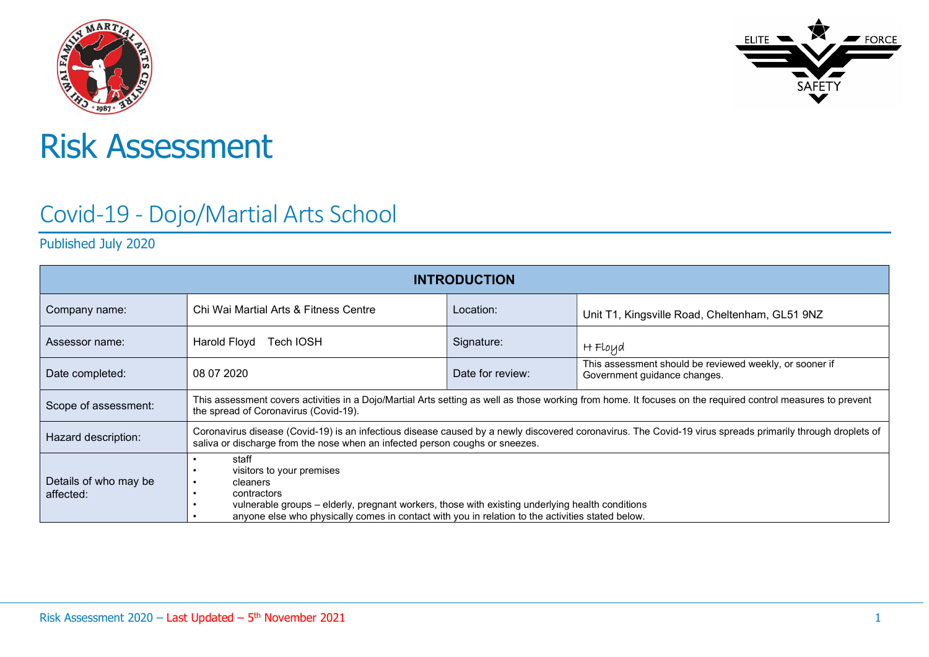



# Risk Assessment

# Covid-19 - Dojo/Martial Arts School

Published July 2020

| <b>INTRODUCTION</b>                |                                                                                                                                                                                                                                                                      |                  |                                                                                                                                                             |  |  |  |  |
|------------------------------------|----------------------------------------------------------------------------------------------------------------------------------------------------------------------------------------------------------------------------------------------------------------------|------------------|-------------------------------------------------------------------------------------------------------------------------------------------------------------|--|--|--|--|
| Company name:                      | Chi Wai Martial Arts & Fitness Centre                                                                                                                                                                                                                                | Location:        | Unit T1, Kingsville Road, Cheltenham, GL51 9NZ                                                                                                              |  |  |  |  |
| Assessor name:                     | Harold Floyd Tech IOSH                                                                                                                                                                                                                                               | Signature:       | H Floyd                                                                                                                                                     |  |  |  |  |
| Date completed:                    | 08 07 2020                                                                                                                                                                                                                                                           | Date for review: | This assessment should be reviewed weekly, or sooner if<br>Government guidance changes.                                                                     |  |  |  |  |
| Scope of assessment:               | the spread of Coronavirus (Covid-19).                                                                                                                                                                                                                                |                  | This assessment covers activities in a Dojo/Martial Arts setting as well as those working from home. It focuses on the required control measures to prevent |  |  |  |  |
| Hazard description:                | saliva or discharge from the nose when an infected person coughs or sneezes.                                                                                                                                                                                         |                  | Coronavirus disease (Covid-19) is an infectious disease caused by a newly discovered coronavirus. The Covid-19 virus spreads primarily through droplets of  |  |  |  |  |
| Details of who may be<br>affected: | staff<br>visitors to your premises<br>cleaners<br>contractors<br>vulnerable groups – elderly, pregnant workers, those with existing underlying health conditions<br>anyone else who physically comes in contact with you in relation to the activities stated below. |                  |                                                                                                                                                             |  |  |  |  |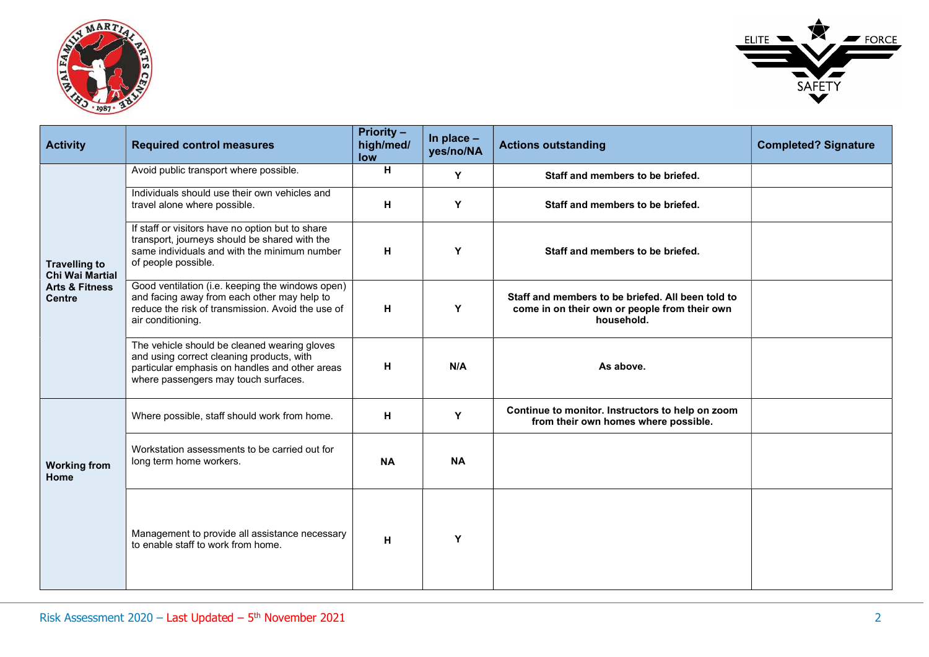



| <b>Activity</b>                                | <b>Required control measures</b>                                                                                                                                                    | <b>Priority -</b><br>high/med/<br>low | In place $-$<br>yes/no/NA | <b>Actions outstanding</b>                                                                                       | <b>Completed? Signature</b> |
|------------------------------------------------|-------------------------------------------------------------------------------------------------------------------------------------------------------------------------------------|---------------------------------------|---------------------------|------------------------------------------------------------------------------------------------------------------|-----------------------------|
|                                                | Avoid public transport where possible.                                                                                                                                              | H                                     | Y                         | Staff and members to be briefed.                                                                                 |                             |
|                                                | Individuals should use their own vehicles and<br>travel alone where possible.                                                                                                       | н                                     | Y                         | Staff and members to be briefed.                                                                                 |                             |
| <b>Travelling to</b><br><b>Chi Wai Martial</b> | If staff or visitors have no option but to share<br>transport, journeys should be shared with the<br>same individuals and with the minimum number<br>of people possible.            | н                                     | Y                         | Staff and members to be briefed.                                                                                 |                             |
| <b>Arts &amp; Fitness</b><br><b>Centre</b>     | Good ventilation (i.e. keeping the windows open)<br>and facing away from each other may help to<br>reduce the risk of transmission. Avoid the use of<br>air conditioning.           | н                                     | Υ                         | Staff and members to be briefed. All been told to<br>come in on their own or people from their own<br>household. |                             |
|                                                | The vehicle should be cleaned wearing gloves<br>and using correct cleaning products, with<br>particular emphasis on handles and other areas<br>where passengers may touch surfaces. | н                                     | N/A                       | As above.                                                                                                        |                             |
|                                                | Where possible, staff should work from home.                                                                                                                                        | н                                     | Y                         | Continue to monitor. Instructors to help on zoom<br>from their own homes where possible.                         |                             |
| <b>Working from</b><br>Home                    | Workstation assessments to be carried out for<br>long term home workers.                                                                                                            | <b>NA</b>                             | <b>NA</b>                 |                                                                                                                  |                             |
|                                                | Management to provide all assistance necessary<br>to enable staff to work from home.                                                                                                | H                                     | Y                         |                                                                                                                  |                             |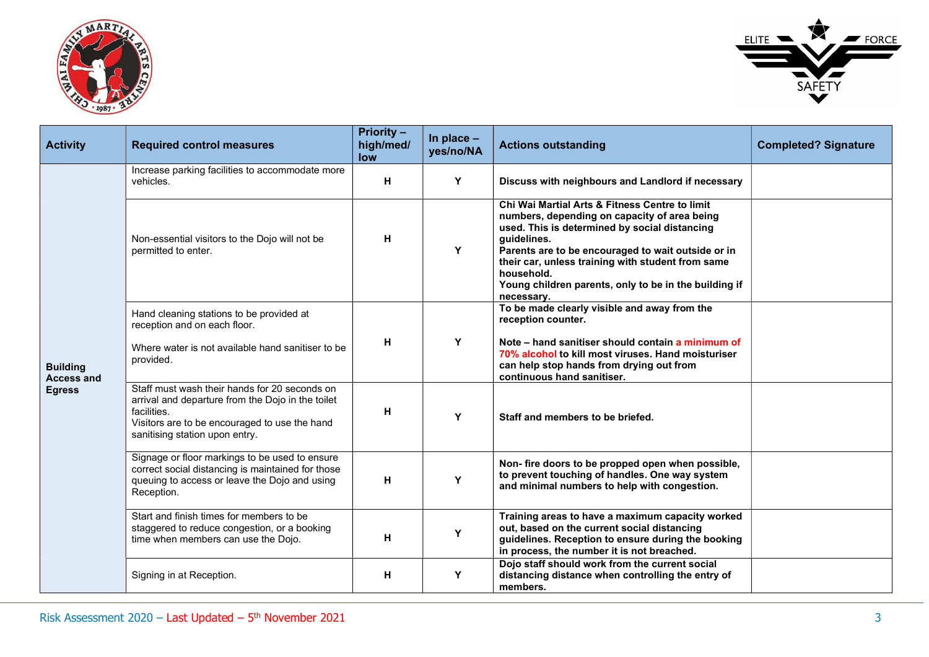



| <b>Activity</b>                      | <b>Required control measures</b>                                                                                                                                                                     | <b>Priority -</b><br>high/med/<br>low | In place $-$<br>yes/no/NA | <b>Actions outstanding</b>                                                                                                                                                                                                                                                                                                                                     | <b>Completed? Signature</b> |
|--------------------------------------|------------------------------------------------------------------------------------------------------------------------------------------------------------------------------------------------------|---------------------------------------|---------------------------|----------------------------------------------------------------------------------------------------------------------------------------------------------------------------------------------------------------------------------------------------------------------------------------------------------------------------------------------------------------|-----------------------------|
|                                      | Increase parking facilities to accommodate more<br>vehicles.                                                                                                                                         | н                                     | Y                         | Discuss with neighbours and Landlord if necessary                                                                                                                                                                                                                                                                                                              |                             |
|                                      | Non-essential visitors to the Dojo will not be<br>permitted to enter.                                                                                                                                | н                                     | Y                         | Chi Wai Martial Arts & Fitness Centre to limit<br>numbers, depending on capacity of area being<br>used. This is determined by social distancing<br>guidelines.<br>Parents are to be encouraged to wait outside or in<br>their car, unless training with student from same<br>household.<br>Young children parents, only to be in the building if<br>necessary. |                             |
|                                      | Hand cleaning stations to be provided at<br>reception and on each floor.<br>Where water is not available hand sanitiser to be                                                                        | н                                     | Y                         | To be made clearly visible and away from the<br>reception counter.<br>Note – hand sanitiser should contain a minimum of<br>70% alcohol to kill most viruses. Hand moisturiser                                                                                                                                                                                  |                             |
| <b>Building</b><br><b>Access and</b> | provided.                                                                                                                                                                                            |                                       |                           | can help stop hands from drying out from<br>continuous hand sanitiser.                                                                                                                                                                                                                                                                                         |                             |
| <b>Egress</b>                        | Staff must wash their hands for 20 seconds on<br>arrival and departure from the Dojo in the toilet<br>facilities.<br>Visitors are to be encouraged to use the hand<br>sanitising station upon entry. | н                                     | Y                         | Staff and members to be briefed.                                                                                                                                                                                                                                                                                                                               |                             |
|                                      | Signage or floor markings to be used to ensure<br>correct social distancing is maintained for those<br>queuing to access or leave the Dojo and using<br>Reception.                                   | н                                     | Y                         | Non-fire doors to be propped open when possible,<br>to prevent touching of handles. One way system<br>and minimal numbers to help with congestion.                                                                                                                                                                                                             |                             |
|                                      | Start and finish times for members to be<br>staggered to reduce congestion, or a booking<br>time when members can use the Dojo.                                                                      | н                                     | Y                         | Training areas to have a maximum capacity worked<br>out, based on the current social distancing<br>guidelines. Reception to ensure during the booking<br>in process, the number it is not breached.                                                                                                                                                            |                             |
|                                      | Signing in at Reception.                                                                                                                                                                             | н                                     | Y                         | Dojo staff should work from the current social<br>distancing distance when controlling the entry of<br>members.                                                                                                                                                                                                                                                |                             |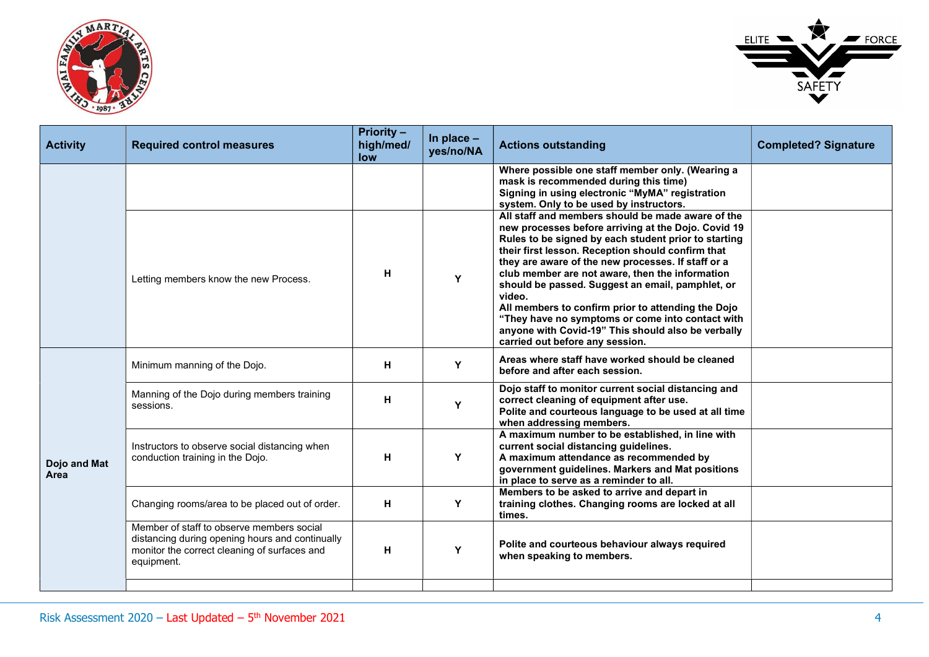



| <b>Activity</b>      | <b>Required control measures</b>                                                                                                                           | <b>Priority -</b><br>high/med/<br>low | In place $-$<br>yes/no/NA | <b>Actions outstanding</b>                                                                                                                                                                                                                                                                                                                                                                                                                                                                                                                                                                      | <b>Completed? Signature</b> |
|----------------------|------------------------------------------------------------------------------------------------------------------------------------------------------------|---------------------------------------|---------------------------|-------------------------------------------------------------------------------------------------------------------------------------------------------------------------------------------------------------------------------------------------------------------------------------------------------------------------------------------------------------------------------------------------------------------------------------------------------------------------------------------------------------------------------------------------------------------------------------------------|-----------------------------|
|                      |                                                                                                                                                            |                                       |                           | Where possible one staff member only. (Wearing a<br>mask is recommended during this time)<br>Signing in using electronic "MyMA" registration<br>system. Only to be used by instructors.                                                                                                                                                                                                                                                                                                                                                                                                         |                             |
|                      | Letting members know the new Process.                                                                                                                      | н                                     | Y                         | All staff and members should be made aware of the<br>new processes before arriving at the Dojo. Covid 19<br>Rules to be signed by each student prior to starting<br>their first lesson. Reception should confirm that<br>they are aware of the new processes. If staff or a<br>club member are not aware, then the information<br>should be passed. Suggest an email, pamphlet, or<br>video.<br>All members to confirm prior to attending the Dojo<br>"They have no symptoms or come into contact with<br>anyone with Covid-19" This should also be verbally<br>carried out before any session. |                             |
| Dojo and Mat<br>Area | Minimum manning of the Dojo.                                                                                                                               | н                                     | Y                         | Areas where staff have worked should be cleaned<br>before and after each session.                                                                                                                                                                                                                                                                                                                                                                                                                                                                                                               |                             |
|                      | Manning of the Dojo during members training<br>sessions.                                                                                                   | н                                     | Y                         | Dojo staff to monitor current social distancing and<br>correct cleaning of equipment after use.<br>Polite and courteous language to be used at all time<br>when addressing members.                                                                                                                                                                                                                                                                                                                                                                                                             |                             |
|                      | Instructors to observe social distancing when<br>conduction training in the Dojo.                                                                          | н                                     | Y                         | A maximum number to be established, in line with<br>current social distancing guidelines.<br>A maximum attendance as recommended by<br>government guidelines. Markers and Mat positions<br>in place to serve as a reminder to all.                                                                                                                                                                                                                                                                                                                                                              |                             |
|                      | Changing rooms/area to be placed out of order.                                                                                                             | н                                     | Y                         | Members to be asked to arrive and depart in<br>training clothes. Changing rooms are locked at all<br>times.                                                                                                                                                                                                                                                                                                                                                                                                                                                                                     |                             |
|                      | Member of staff to observe members social<br>distancing during opening hours and continually<br>monitor the correct cleaning of surfaces and<br>equipment. | H                                     | Y                         | Polite and courteous behaviour always required<br>when speaking to members.                                                                                                                                                                                                                                                                                                                                                                                                                                                                                                                     |                             |
|                      |                                                                                                                                                            |                                       |                           |                                                                                                                                                                                                                                                                                                                                                                                                                                                                                                                                                                                                 |                             |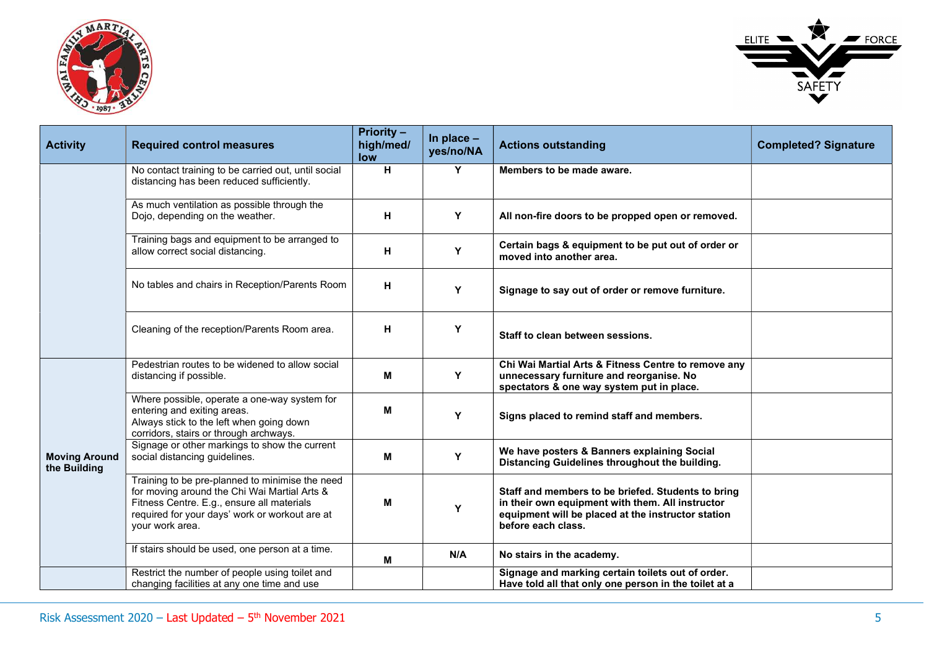



| <b>Activity</b>                      | <b>Required control measures</b>                                                                                                                                                                                   | <b>Priority -</b><br>high/med/<br>low | In place $-$<br>yes/no/NA | <b>Actions outstanding</b>                                                                                                                                                         | <b>Completed? Signature</b> |
|--------------------------------------|--------------------------------------------------------------------------------------------------------------------------------------------------------------------------------------------------------------------|---------------------------------------|---------------------------|------------------------------------------------------------------------------------------------------------------------------------------------------------------------------------|-----------------------------|
|                                      | No contact training to be carried out, until social<br>distancing has been reduced sufficiently.                                                                                                                   | н                                     | Y                         | Members to be made aware.                                                                                                                                                          |                             |
|                                      | As much ventilation as possible through the<br>Dojo, depending on the weather.                                                                                                                                     | н                                     | Y                         | All non-fire doors to be propped open or removed.                                                                                                                                  |                             |
|                                      | Training bags and equipment to be arranged to<br>allow correct social distancing.                                                                                                                                  | н                                     | Y                         | Certain bags & equipment to be put out of order or<br>moved into another area.                                                                                                     |                             |
|                                      | No tables and chairs in Reception/Parents Room                                                                                                                                                                     | н                                     | Y                         | Signage to say out of order or remove furniture.                                                                                                                                   |                             |
|                                      | Cleaning of the reception/Parents Room area.                                                                                                                                                                       | н                                     | Y                         | Staff to clean between sessions.                                                                                                                                                   |                             |
|                                      | Pedestrian routes to be widened to allow social<br>distancing if possible.                                                                                                                                         | M                                     | Υ                         | Chi Wai Martial Arts & Fitness Centre to remove any<br>unnecessary furniture and reorganise. No<br>spectators & one way system put in place.                                       |                             |
|                                      | Where possible, operate a one-way system for<br>entering and exiting areas.<br>Always stick to the left when going down<br>corridors, stairs or through archways.                                                  | M                                     | Y                         | Signs placed to remind staff and members.                                                                                                                                          |                             |
| <b>Moving Around</b><br>the Building | Signage or other markings to show the current<br>social distancing guidelines.                                                                                                                                     | M                                     | Υ                         | We have posters & Banners explaining Social<br>Distancing Guidelines throughout the building.                                                                                      |                             |
|                                      | Training to be pre-planned to minimise the need<br>for moving around the Chi Wai Martial Arts &<br>Fitness Centre. E.g., ensure all materials<br>required for your days' work or workout are at<br>your work area. | M                                     | Y                         | Staff and members to be briefed. Students to bring<br>in their own equipment with them. All instructor<br>equipment will be placed at the instructor station<br>before each class. |                             |
|                                      | If stairs should be used, one person at a time.                                                                                                                                                                    | M                                     | N/A                       | No stairs in the academy.                                                                                                                                                          |                             |
|                                      | Restrict the number of people using toilet and<br>changing facilities at any one time and use                                                                                                                      |                                       |                           | Signage and marking certain toilets out of order.<br>Have told all that only one person in the toilet at a                                                                         |                             |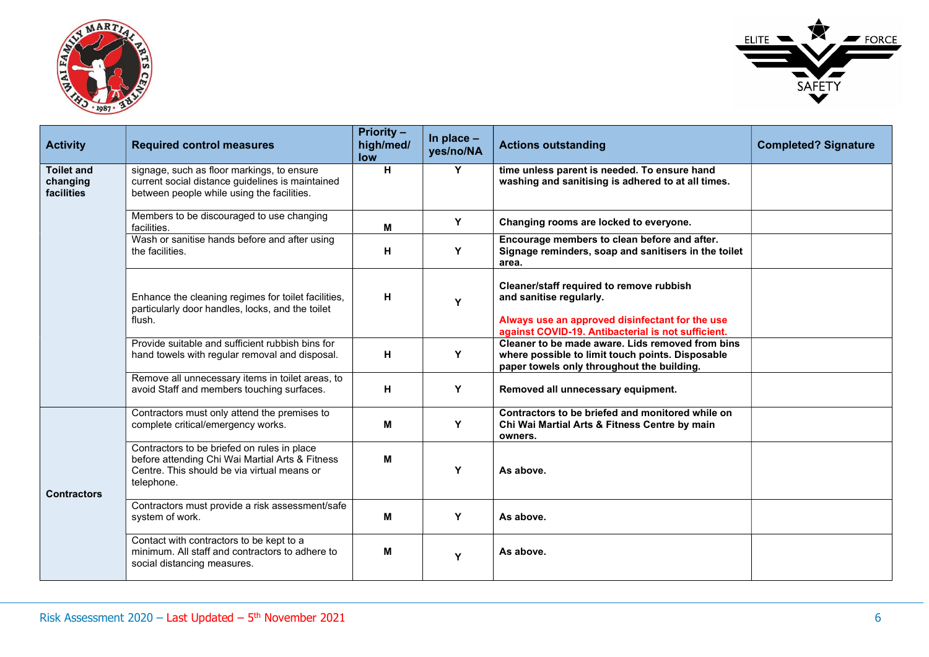



| <b>Activity</b>                             | <b>Required control measures</b>                                                                                                                            | <b>Priority -</b><br>high/med/<br>low | In place $-$<br>yes/no/NA | <b>Actions outstanding</b>                                                                                                                                                   | <b>Completed? Signature</b> |
|---------------------------------------------|-------------------------------------------------------------------------------------------------------------------------------------------------------------|---------------------------------------|---------------------------|------------------------------------------------------------------------------------------------------------------------------------------------------------------------------|-----------------------------|
| <b>Toilet and</b><br>changing<br>facilities | signage, such as floor markings, to ensure<br>current social distance guidelines is maintained<br>between people while using the facilities.                | H                                     | Y                         | time unless parent is needed. To ensure hand<br>washing and sanitising is adhered to at all times.                                                                           |                             |
|                                             | Members to be discouraged to use changing<br>facilities.                                                                                                    | M                                     | Y                         | Changing rooms are locked to everyone.                                                                                                                                       |                             |
|                                             | Wash or sanitise hands before and after using<br>the facilities.                                                                                            | H                                     | Y                         | Encourage members to clean before and after.<br>Signage reminders, soap and sanitisers in the toilet<br>area.                                                                |                             |
|                                             | Enhance the cleaning regimes for toilet facilities,<br>particularly door handles, locks, and the toilet<br>flush.                                           | H                                     | Y                         | Cleaner/staff required to remove rubbish<br>and sanitise regularly.<br>Always use an approved disinfectant for the use<br>against COVID-19. Antibacterial is not sufficient. |                             |
|                                             | Provide suitable and sufficient rubbish bins for<br>hand towels with regular removal and disposal.                                                          | H                                     | Y                         | Cleaner to be made aware. Lids removed from bins<br>where possible to limit touch points. Disposable<br>paper towels only throughout the building.                           |                             |
|                                             | Remove all unnecessary items in toilet areas, to<br>avoid Staff and members touching surfaces.                                                              | H                                     | Y                         | Removed all unnecessary equipment.                                                                                                                                           |                             |
|                                             | Contractors must only attend the premises to<br>complete critical/emergency works.                                                                          | м                                     | Y                         | Contractors to be briefed and monitored while on<br>Chi Wai Martial Arts & Fitness Centre by main<br>owners.                                                                 |                             |
| <b>Contractors</b>                          | Contractors to be briefed on rules in place<br>before attending Chi Wai Martial Arts & Fitness<br>Centre. This should be via virtual means or<br>telephone. | м                                     | Y                         | As above.                                                                                                                                                                    |                             |
|                                             | Contractors must provide a risk assessment/safe<br>system of work.                                                                                          | м                                     | Y                         | As above.                                                                                                                                                                    |                             |
|                                             | Contact with contractors to be kept to a<br>minimum. All staff and contractors to adhere to<br>social distancing measures.                                  | M                                     | Y                         | As above.                                                                                                                                                                    |                             |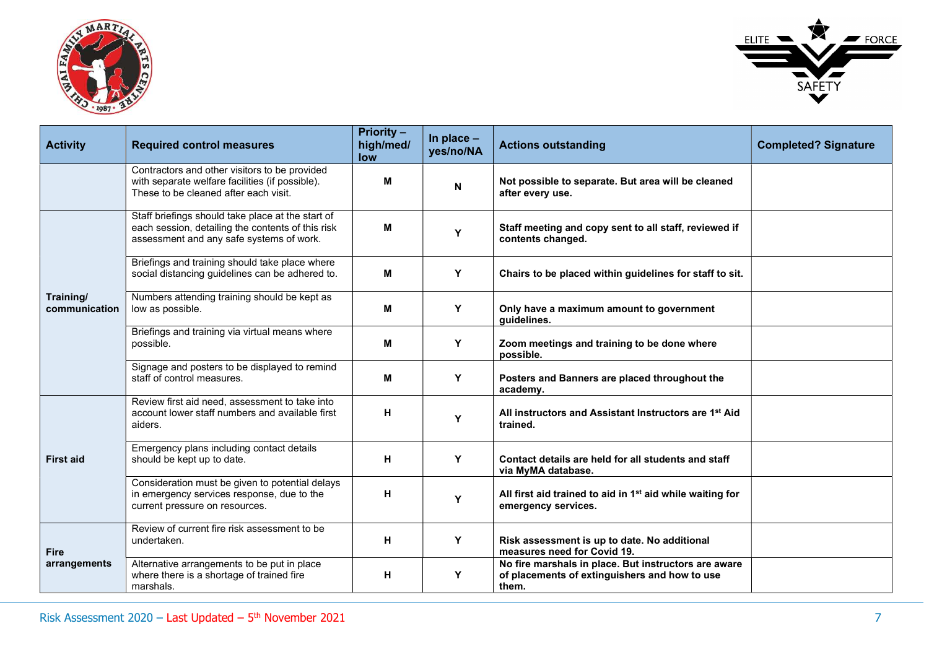



| <b>Activity</b>            | <b>Required control measures</b>                                                                                                                   | <b>Priority -</b><br>high/med/<br>low | In place $-$<br>yes/no/NA | <b>Actions outstanding</b>                                                                                     | <b>Completed? Signature</b> |
|----------------------------|----------------------------------------------------------------------------------------------------------------------------------------------------|---------------------------------------|---------------------------|----------------------------------------------------------------------------------------------------------------|-----------------------------|
|                            | Contractors and other visitors to be provided<br>with separate welfare facilities (if possible).<br>These to be cleaned after each visit.          | M                                     | N                         | Not possible to separate. But area will be cleaned<br>after every use.                                         |                             |
|                            | Staff briefings should take place at the start of<br>each session, detailing the contents of this risk<br>assessment and any safe systems of work. | м                                     | Y                         | Staff meeting and copy sent to all staff, reviewed if<br>contents changed.                                     |                             |
|                            | Briefings and training should take place where<br>social distancing guidelines can be adhered to.                                                  | M                                     | Y                         | Chairs to be placed within guidelines for staff to sit.                                                        |                             |
| Training/<br>communication | Numbers attending training should be kept as<br>low as possible.                                                                                   | M                                     | Y                         | Only have a maximum amount to government<br>guidelines.                                                        |                             |
|                            | Briefings and training via virtual means where<br>possible.                                                                                        | M                                     | Y                         | Zoom meetings and training to be done where<br>possible.                                                       |                             |
|                            | Signage and posters to be displayed to remind<br>staff of control measures.                                                                        | M                                     | Y                         | Posters and Banners are placed throughout the<br>academy.                                                      |                             |
|                            | Review first aid need, assessment to take into<br>account lower staff numbers and available first<br>aiders.                                       | н                                     | Y                         | All instructors and Assistant Instructors are 1 <sup>st</sup> Aid<br>trained.                                  |                             |
| <b>First aid</b>           | Emergency plans including contact details<br>should be kept up to date.                                                                            | н                                     | Y                         | Contact details are held for all students and staff<br>via MyMA database.                                      |                             |
|                            | Consideration must be given to potential delays<br>in emergency services response, due to the<br>current pressure on resources.                    | н                                     | Y                         | All first aid trained to aid in 1 <sup>st</sup> aid while waiting for<br>emergency services.                   |                             |
| <b>Fire</b>                | Review of current fire risk assessment to be<br>undertaken.                                                                                        | н                                     | Y                         | Risk assessment is up to date. No additional<br>measures need for Covid 19.                                    |                             |
| arrangements               | Alternative arrangements to be put in place<br>where there is a shortage of trained fire<br>marshals.                                              | н                                     | Y                         | No fire marshals in place. But instructors are aware<br>of placements of extinguishers and how to use<br>them. |                             |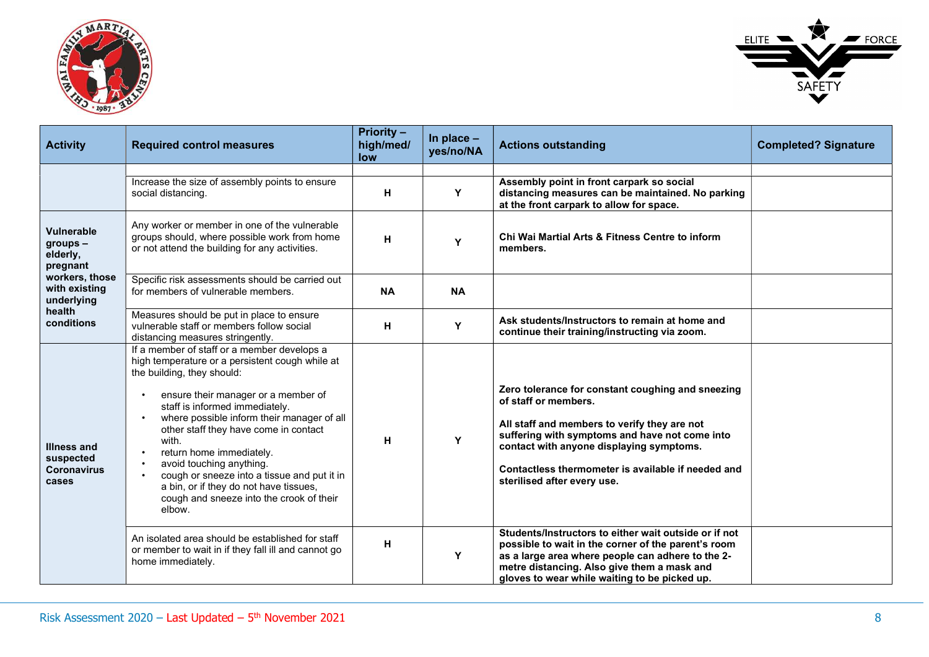



| <b>Activity</b>                                                | <b>Required control measures</b>                                                                                                                                                                                                                                                                                                                                                                                                                                                                             | <b>Priority -</b><br>high/med/<br>low | In place $-$<br>yes/no/NA | <b>Actions outstanding</b>                                                                                                                                                                                                                                                                                   | <b>Completed? Signature</b> |
|----------------------------------------------------------------|--------------------------------------------------------------------------------------------------------------------------------------------------------------------------------------------------------------------------------------------------------------------------------------------------------------------------------------------------------------------------------------------------------------------------------------------------------------------------------------------------------------|---------------------------------------|---------------------------|--------------------------------------------------------------------------------------------------------------------------------------------------------------------------------------------------------------------------------------------------------------------------------------------------------------|-----------------------------|
|                                                                | Increase the size of assembly points to ensure<br>social distancing.                                                                                                                                                                                                                                                                                                                                                                                                                                         | н                                     | Y                         | Assembly point in front carpark so social<br>distancing measures can be maintained. No parking<br>at the front carpark to allow for space.                                                                                                                                                                   |                             |
| Vulnerable<br>groups -<br>elderly,<br>pregnant                 | Any worker or member in one of the vulnerable<br>groups should, where possible work from home<br>or not attend the building for any activities.                                                                                                                                                                                                                                                                                                                                                              | н                                     | Y                         | Chi Wai Martial Arts & Fitness Centre to inform<br>members.                                                                                                                                                                                                                                                  |                             |
| workers, those<br>with existing<br>underlying                  | Specific risk assessments should be carried out<br>for members of vulnerable members.                                                                                                                                                                                                                                                                                                                                                                                                                        | <b>NA</b>                             | <b>NA</b>                 |                                                                                                                                                                                                                                                                                                              |                             |
| health<br>conditions                                           | Measures should be put in place to ensure<br>vulnerable staff or members follow social<br>distancing measures stringently.                                                                                                                                                                                                                                                                                                                                                                                   | Н                                     | Υ                         | Ask students/instructors to remain at home and<br>continue their training/instructing via zoom.                                                                                                                                                                                                              |                             |
| <b>Illness and</b><br>suspected<br><b>Coronavirus</b><br>cases | If a member of staff or a member develops a<br>high temperature or a persistent cough while at<br>the building, they should:<br>ensure their manager or a member of<br>staff is informed immediately.<br>where possible inform their manager of all<br>other staff they have come in contact<br>with.<br>return home immediately.<br>avoid touching anything.<br>cough or sneeze into a tissue and put it in<br>a bin, or if they do not have tissues,<br>cough and sneeze into the crook of their<br>elbow. | H                                     | Y                         | Zero tolerance for constant coughing and sneezing<br>of staff or members.<br>All staff and members to verify they are not<br>suffering with symptoms and have not come into<br>contact with anyone displaying symptoms.<br>Contactless thermometer is available if needed and<br>sterilised after every use. |                             |
|                                                                | An isolated area should be established for staff<br>or member to wait in if they fall ill and cannot go<br>home immediately.                                                                                                                                                                                                                                                                                                                                                                                 | H                                     | Y                         | Students/Instructors to either wait outside or if not<br>possible to wait in the corner of the parent's room<br>as a large area where people can adhere to the 2-<br>metre distancing. Also give them a mask and<br>gloves to wear while waiting to be picked up.                                            |                             |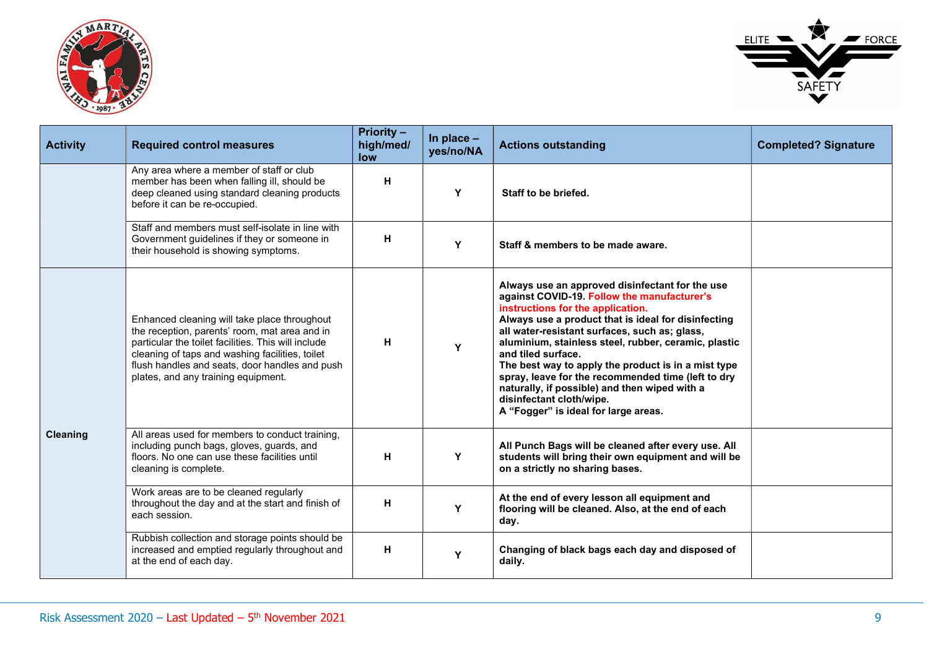



| <b>Activity</b> | <b>Required control measures</b>                                                                                                                                                                                                                                                                 | <b>Priority -</b><br>high/med/<br>low | In place $-$<br>yes/no/NA | <b>Actions outstanding</b>                                                                                                                                                                                                                                                                                                                                                                                                                                                                                                                                  | <b>Completed? Signature</b> |
|-----------------|--------------------------------------------------------------------------------------------------------------------------------------------------------------------------------------------------------------------------------------------------------------------------------------------------|---------------------------------------|---------------------------|-------------------------------------------------------------------------------------------------------------------------------------------------------------------------------------------------------------------------------------------------------------------------------------------------------------------------------------------------------------------------------------------------------------------------------------------------------------------------------------------------------------------------------------------------------------|-----------------------------|
|                 | Any area where a member of staff or club<br>member has been when falling ill, should be<br>deep cleaned using standard cleaning products<br>before it can be re-occupied.                                                                                                                        | н                                     | Y                         | Staff to be briefed.                                                                                                                                                                                                                                                                                                                                                                                                                                                                                                                                        |                             |
|                 | Staff and members must self-isolate in line with<br>Government guidelines if they or someone in<br>their household is showing symptoms.                                                                                                                                                          | н                                     | Y                         | Staff & members to be made aware.                                                                                                                                                                                                                                                                                                                                                                                                                                                                                                                           |                             |
|                 | Enhanced cleaning will take place throughout<br>the reception, parents' room, mat area and in<br>particular the toilet facilities. This will include<br>cleaning of taps and washing facilities, toilet<br>flush handles and seats, door handles and push<br>plates, and any training equipment. | H                                     | Y                         | Always use an approved disinfectant for the use<br>against COVID-19. Follow the manufacturer's<br>instructions for the application.<br>Always use a product that is ideal for disinfecting<br>all water-resistant surfaces, such as; glass,<br>aluminium, stainless steel, rubber, ceramic, plastic<br>and tiled surface.<br>The best way to apply the product is in a mist type<br>spray, leave for the recommended time (left to dry<br>naturally, if possible) and then wiped with a<br>disinfectant cloth/wipe.<br>A "Fogger" is ideal for large areas. |                             |
| Cleaning        | All areas used for members to conduct training,<br>including punch bags, gloves, guards, and<br>floors. No one can use these facilities until<br>cleaning is complete.                                                                                                                           | H                                     | Y                         | All Punch Bags will be cleaned after every use. All<br>students will bring their own equipment and will be<br>on a strictly no sharing bases.                                                                                                                                                                                                                                                                                                                                                                                                               |                             |
|                 | Work areas are to be cleaned regularly<br>throughout the day and at the start and finish of<br>each session.                                                                                                                                                                                     | н                                     | Y                         | At the end of every lesson all equipment and<br>flooring will be cleaned. Also, at the end of each<br>day.                                                                                                                                                                                                                                                                                                                                                                                                                                                  |                             |
|                 | Rubbish collection and storage points should be<br>increased and emptied regularly throughout and<br>at the end of each day.                                                                                                                                                                     | н                                     | Y                         | Changing of black bags each day and disposed of<br>daily.                                                                                                                                                                                                                                                                                                                                                                                                                                                                                                   |                             |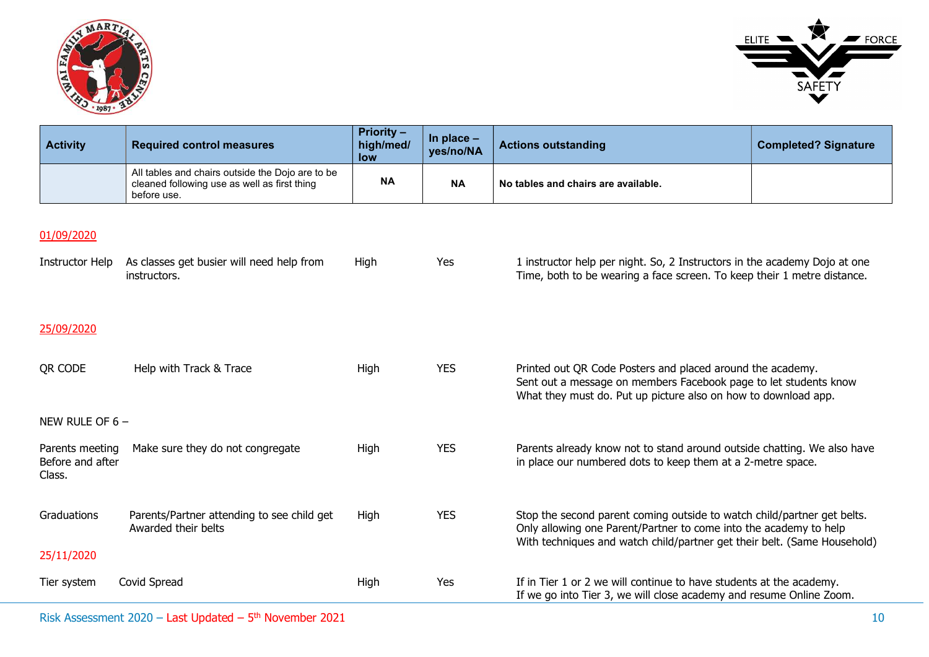



| <b>Activity</b> | <b>Required control measures</b>                                                                                | <b>Priority -</b><br>high/med/<br><b>low</b> | In place $-$<br>yes/no/NA | <b>Actions outstanding</b>          | <b>Completed? Signature</b> |
|-----------------|-----------------------------------------------------------------------------------------------------------------|----------------------------------------------|---------------------------|-------------------------------------|-----------------------------|
|                 | All tables and chairs outside the Dojo are to be<br>cleaned following use as well as first thing<br>before use. | <b>NA</b>                                    | <b>NA</b>                 | No tables and chairs are available. |                             |

## 01/09/2020

| Instructor Help                               | As classes get busier will need help from<br>instructors.         | High | Yes        | 1 instructor help per night. So, 2 Instructors in the academy Dojo at one<br>Time, both to be wearing a face screen. To keep their 1 metre distance.                                                                     |
|-----------------------------------------------|-------------------------------------------------------------------|------|------------|--------------------------------------------------------------------------------------------------------------------------------------------------------------------------------------------------------------------------|
| 25/09/2020                                    |                                                                   |      |            |                                                                                                                                                                                                                          |
| QR CODE                                       | Help with Track & Trace                                           | High | <b>YES</b> | Printed out QR Code Posters and placed around the academy.<br>Sent out a message on members Facebook page to let students know<br>What they must do. Put up picture also on how to download app.                         |
| NEW RULE OF $6 -$                             |                                                                   |      |            |                                                                                                                                                                                                                          |
| Parents meeting<br>Before and after<br>Class. | Make sure they do not congregate                                  | High | <b>YES</b> | Parents already know not to stand around outside chatting. We also have<br>in place our numbered dots to keep them at a 2-metre space.                                                                                   |
| Graduations                                   | Parents/Partner attending to see child get<br>Awarded their belts | High | <b>YES</b> | Stop the second parent coming outside to watch child/partner get belts.<br>Only allowing one Parent/Partner to come into the academy to help<br>With techniques and watch child/partner get their belt. (Same Household) |
| 25/11/2020                                    |                                                                   |      |            |                                                                                                                                                                                                                          |
| Tier system                                   | Covid Spread                                                      | High | Yes        | If in Tier 1 or 2 we will continue to have students at the academy.<br>If we go into Tier 3, we will close academy and resume Online Zoom.                                                                               |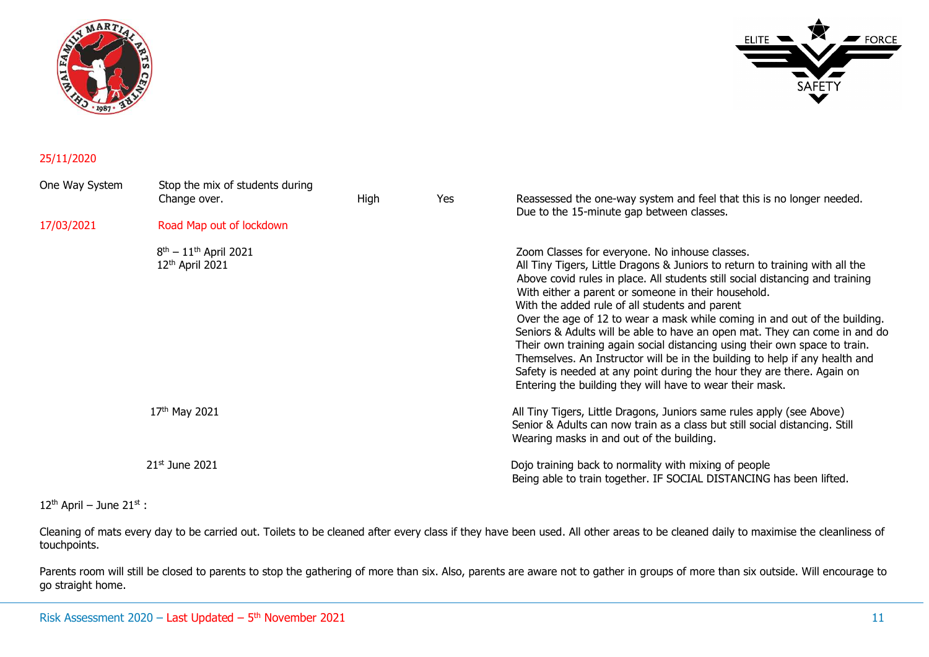



#### 25/11/2020

| One Way System | Stop the mix of students during<br>Change over.        | High | <b>Yes</b> | Reassessed the one-way system and feel that this is no longer needed.<br>Due to the 15-minute gap between classes.                                                                                                                                                                                                                                                                                                                                                                                                                                                                                                                                                                                                                                                                      |
|----------------|--------------------------------------------------------|------|------------|-----------------------------------------------------------------------------------------------------------------------------------------------------------------------------------------------------------------------------------------------------------------------------------------------------------------------------------------------------------------------------------------------------------------------------------------------------------------------------------------------------------------------------------------------------------------------------------------------------------------------------------------------------------------------------------------------------------------------------------------------------------------------------------------|
| 17/03/2021     | Road Map out of lockdown                               |      |            |                                                                                                                                                                                                                                                                                                                                                                                                                                                                                                                                                                                                                                                                                                                                                                                         |
|                | $8th - 11th$ April 2021<br>12 <sup>th</sup> April 2021 |      |            | Zoom Classes for everyone. No inhouse classes.<br>All Tiny Tigers, Little Dragons & Juniors to return to training with all the<br>Above covid rules in place. All students still social distancing and training<br>With either a parent or someone in their household.<br>With the added rule of all students and parent<br>Over the age of 12 to wear a mask while coming in and out of the building.<br>Seniors & Adults will be able to have an open mat. They can come in and do<br>Their own training again social distancing using their own space to train.<br>Themselves. An Instructor will be in the building to help if any health and<br>Safety is needed at any point during the hour they are there. Again on<br>Entering the building they will have to wear their mask. |
|                | $17th$ May 2021                                        |      |            | All Tiny Tigers, Little Dragons, Juniors same rules apply (see Above)<br>Senior & Adults can now train as a class but still social distancing. Still<br>Wearing masks in and out of the building.                                                                                                                                                                                                                                                                                                                                                                                                                                                                                                                                                                                       |
|                | $21st$ June 2021                                       |      |            | Dojo training back to normality with mixing of people<br>Being able to train together. IF SOCIAL DISTANCING has been lifted.                                                                                                                                                                                                                                                                                                                                                                                                                                                                                                                                                                                                                                                            |

 $12^{th}$  April – June  $21^{st}$  :

Cleaning of mats every day to be carried out. Toilets to be cleaned after every class if they have been used. All other areas to be cleaned daily to maximise the cleanliness of touchpoints.

Parents room will still be closed to parents to stop the gathering of more than six. Also, parents are aware not to gather in groups of more than six outside. Will encourage to go straight home.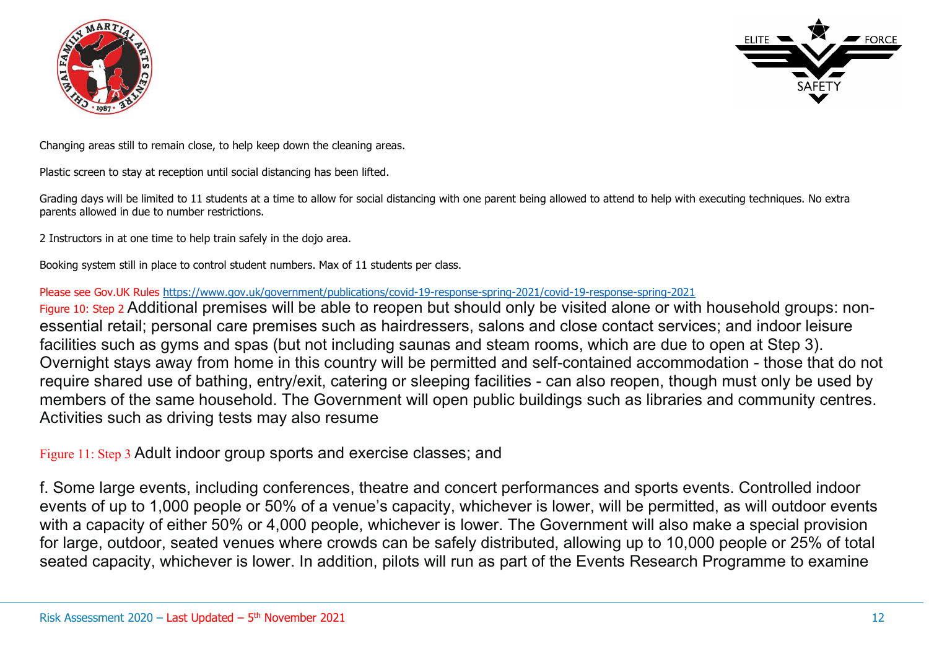



Changing areas still to remain close, to help keep down the cleaning areas.

Plastic screen to stay at reception until social distancing has been lifted.

Grading days will be limited to 11 students at a time to allow for social distancing with one parent being allowed to attend to help with executing techniques. No extra parents allowed in due to number restrictions.

2 Instructors in at one time to help train safely in the dojo area.

Booking system still in place to control student numbers. Max of 11 students per class.

#### Please see Gov.UK Rules https://www.gov.uk/government/publications/covid-19-response-spring-2021/covid-19-response-spring-2021

Figure 10: Step 2 Additional premises will be able to reopen but should only be visited alone or with household groups: nonessential retail; personal care premises such as hairdressers, salons and close contact services; and indoor leisure facilities such as gyms and spas (but not including saunas and steam rooms, which are due to open at Step 3). Overnight stays away from home in this country will be permitted and self-contained accommodation - those that do not require shared use of bathing, entry/exit, catering or sleeping facilities - can also reopen, though must only be used by members of the same household. The Government will open public buildings such as libraries and community centres. Activities such as driving tests may also resume

Figure 11: Step 3 Adult indoor group sports and exercise classes; and

f. Some large events, including conferences, theatre and concert performances and sports events. Controlled indoor events of up to 1,000 people or 50% of a venue's capacity, whichever is lower, will be permitted, as will outdoor events with a capacity of either 50% or 4,000 people, whichever is lower. The Government will also make a special provision for large, outdoor, seated venues where crowds can be safely distributed, allowing up to 10,000 people or 25% of total seated capacity, whichever is lower. In addition, pilots will run as part of the Events Research Programme to examine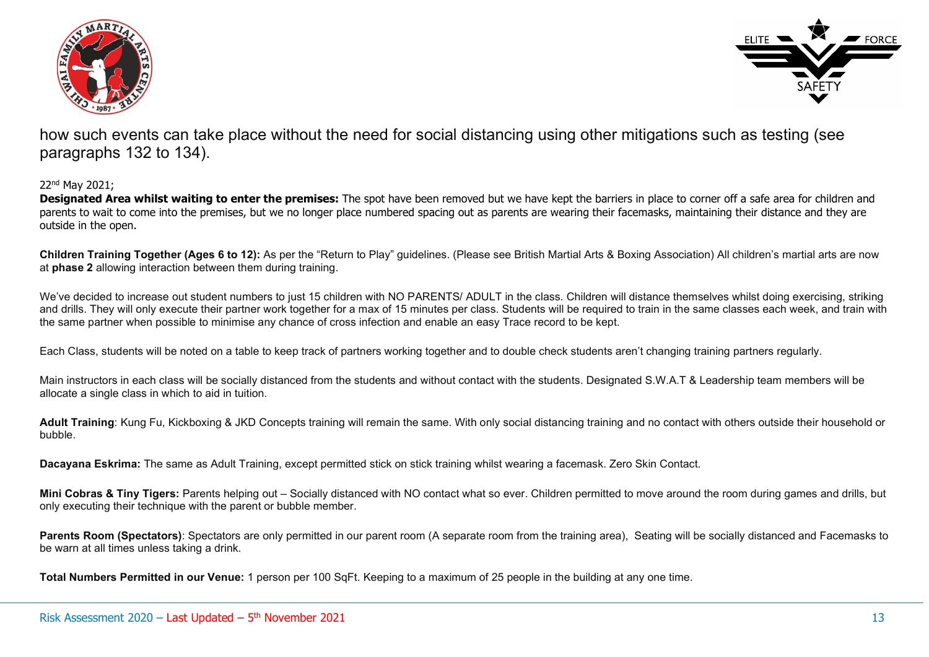



how such events can take place without the need for social distancing using other mitigations such as testing (see paragraphs 132 to 134).

#### 22nd May 2021;

Designated Area whilst waiting to enter the premises: The spot have been removed but we have kept the barriers in place to corner off a safe area for children and parents to wait to come into the premises, but we no longer place numbered spacing out as parents are wearing their facemasks, maintaining their distance and they are outside in the open.

Children Training Together (Ages 6 to 12): As per the "Return to Play" guidelines. (Please see British Martial Arts & Boxing Association) All children's martial arts are now at phase 2 allowing interaction between them during training.

We've decided to increase out student numbers to just 15 children with NO PARENTS/ ADULT in the class. Children will distance themselves whilst doing exercising, striking and drills. They will only execute their partner work together for a max of 15 minutes per class. Students will be required to train in the same classes each week, and train with the same partner when possible to minimise any chance of cross infection and enable an easy Trace record to be kept.

Each Class, students will be noted on a table to keep track of partners working together and to double check students aren't changing training partners regularly.

Main instructors in each class will be socially distanced from the students and without contact with the students. Designated S.W.A.T & Leadership team members will be allocate a single class in which to aid in tuition.

Adult Training: Kung Fu, Kickboxing & JKD Concepts training will remain the same. With only social distancing training and no contact with others outside their household or bubble.

Dacayana Eskrima: The same as Adult Training, except permitted stick on stick training whilst wearing a facemask. Zero Skin Contact.

Mini Cobras & Tiny Tigers: Parents helping out – Socially distanced with NO contact what so ever. Children permitted to move around the room during games and drills, but only executing their technique with the parent or bubble member.

Parents Room (Spectators): Spectators are only permitted in our parent room (A separate room from the training area), Seating will be socially distanced and Facemasks to be warn at all times unless taking a drink.

Total Numbers Permitted in our Venue: 1 person per 100 SqFt. Keeping to a maximum of 25 people in the building at any one time.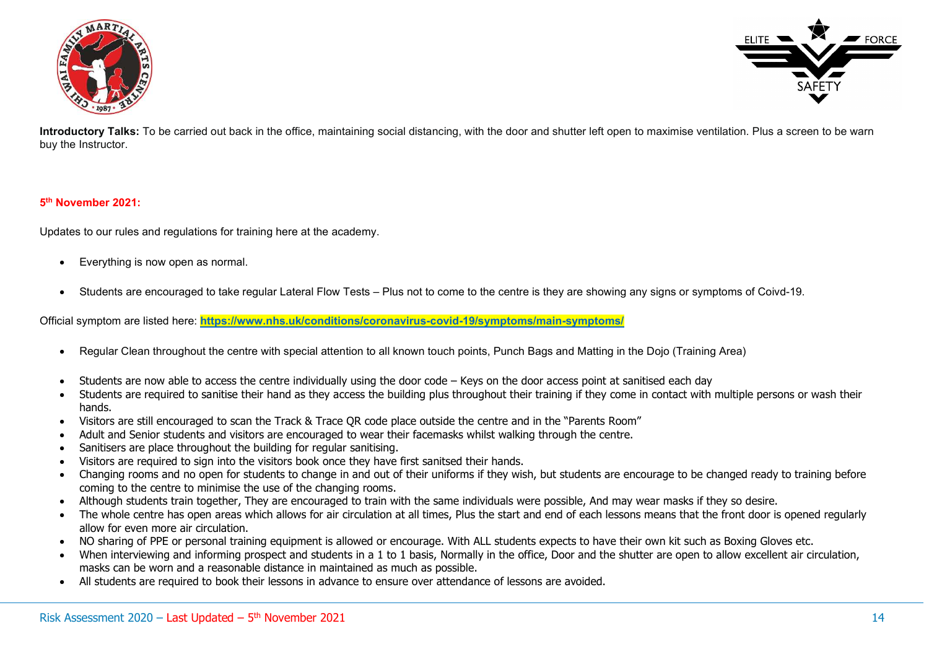



Introductory Talks: To be carried out back in the office, maintaining social distancing, with the door and shutter left open to maximise ventilation. Plus a screen to be warn buy the Instructor.

#### 5 th November 2021:

Updates to our rules and regulations for training here at the academy.

- Everything is now open as normal.
- Students are encouraged to take regular Lateral Flow Tests Plus not to come to the centre is they are showing any signs or symptoms of Coivd-19.

Official symptom are listed here: https://www.nhs.uk/conditions/coronavirus-covid-19/symptoms/main-symptoms/

- Regular Clean throughout the centre with special attention to all known touch points, Punch Bags and Matting in the Dojo (Training Area)
- Students are now able to access the centre individually using the door code Keys on the door access point at sanitised each day
- Students are required to sanitise their hand as they access the building plus throughout their training if they come in contact with multiple persons or wash their hands.
- Visitors are still encouraged to scan the Track & Trace QR code place outside the centre and in the "Parents Room"
- Adult and Senior students and visitors are encouraged to wear their facemasks whilst walking through the centre.
- Sanitisers are place throughout the building for regular sanitising.
- Visitors are required to sign into the visitors book once they have first sanitsed their hands.
- Changing rooms and no open for students to change in and out of their uniforms if they wish, but students are encourage to be changed ready to training before coming to the centre to minimise the use of the changing rooms.
- Although students train together, They are encouraged to train with the same individuals were possible, And may wear masks if they so desire.
- The whole centre has open areas which allows for air circulation at all times, Plus the start and end of each lessons means that the front door is opened regularly allow for even more air circulation.
- NO sharing of PPE or personal training equipment is allowed or encourage. With ALL students expects to have their own kit such as Boxing Gloves etc.
- When interviewing and informing prospect and students in a 1 to 1 basis, Normally in the office, Door and the shutter are open to allow excellent air circulation, masks can be worn and a reasonable distance in maintained as much as possible.
- All students are required to book their lessons in advance to ensure over attendance of lessons are avoided.